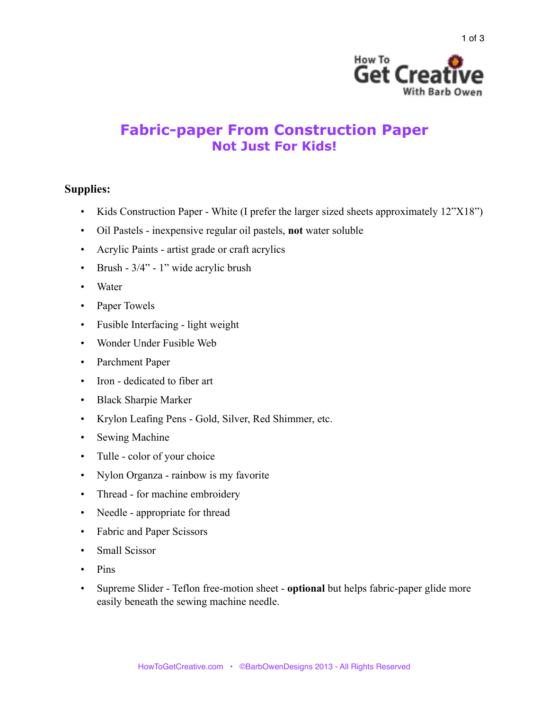

## **Fabric-paper From Construction Paper Not Just For Kids!**

## **Supplies:**

- Kids Construction Paper White (I prefer the larger sized sheets approximately 12"X18")
- Oil Pastels inexpensive regular oil pastels, **not** water soluble
- Acrylic Paints artist grade or craft acrylics
- Brush 3/4" 1" wide acrylic brush
- Water
- Paper Towels
- Fusible Interfacing light weight
- Wonder Under Fusible Web
- Parchment Paper
- Iron dedicated to fiber art
- Black Sharpie Marker
- Krylon Leafing Pens Gold, Silver, Red Shimmer, etc.
- Sewing Machine
- Tulle color of your choice
- Nylon Organza rainbow is my favorite
- Thread for machine embroidery
- Needle appropriate for thread
- Fabric and Paper Scissors
- Small Scissor
- Pins
- Supreme Slider Teflon free-motion sheet **optional** but helps fabric-paper glide more easily beneath the sewing machine needle.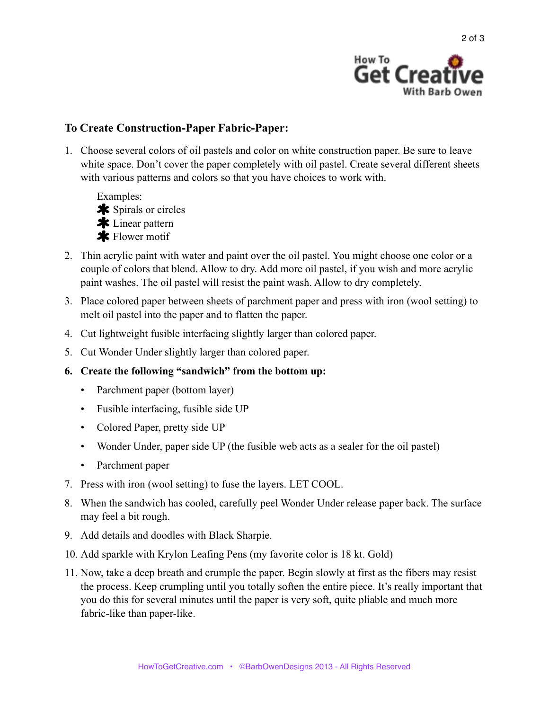

## **To Create Construction-Paper Fabric-Paper:**

1. Choose several colors of oil pastels and color on white construction paper. Be sure to leave white space. Don't cover the paper completely with oil pastel. Create several different sheets with various patterns and colors so that you have choices to work with.



- 2. Thin acrylic paint with water and paint over the oil pastel. You might choose one color or a couple of colors that blend. Allow to dry. Add more oil pastel, if you wish and more acrylic paint washes. The oil pastel will resist the paint wash. Allow to dry completely.
- 3. Place colored paper between sheets of parchment paper and press with iron (wool setting) to melt oil pastel into the paper and to flatten the paper.
- 4. Cut lightweight fusible interfacing slightly larger than colored paper.
- 5. Cut Wonder Under slightly larger than colored paper.
- **6. Create the following "sandwich" from the bottom up:**
	- Parchment paper (bottom layer)
	- Fusible interfacing, fusible side UP
	- Colored Paper, pretty side UP
	- Wonder Under, paper side UP (the fusible web acts as a sealer for the oil pastel)
	- Parchment paper
- 7. Press with iron (wool setting) to fuse the layers. LET COOL.
- 8. When the sandwich has cooled, carefully peel Wonder Under release paper back. The surface may feel a bit rough.
- 9. Add details and doodles with Black Sharpie.
- 10. Add sparkle with Krylon Leafing Pens (my favorite color is 18 kt. Gold)
- 11. Now, take a deep breath and crumple the paper. Begin slowly at first as the fibers may resist the process. Keep crumpling until you totally soften the entire piece. It's really important that you do this for several minutes until the paper is very soft, quite pliable and much more fabric-like than paper-like.